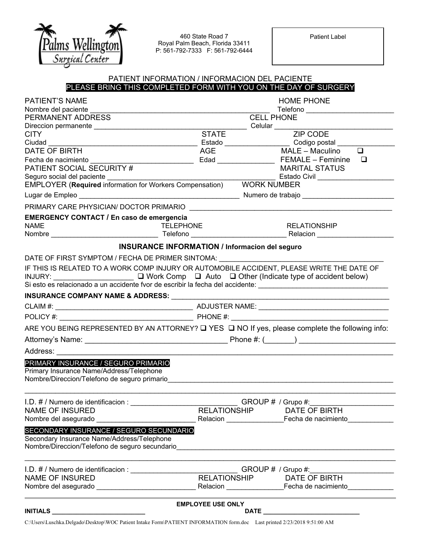

460 State Road 7 Royal Palm Beach, Florida 33411 P: 561-792-7333 F: 561-792-6444 Patient Label

### PATIENT INFORMATION / INFORMACION DEL PACIENTE PLEASE BRING THIS COMPLETED FORM WITH YOU ON THE DAY OF SURGERY

|                                                                                                                                                      | <b>EMPLOYEE USE ONLY</b>                               |                         | DATE _________________________________                                           |  |
|------------------------------------------------------------------------------------------------------------------------------------------------------|--------------------------------------------------------|-------------------------|----------------------------------------------------------------------------------|--|
|                                                                                                                                                      |                                                        |                         |                                                                                  |  |
| I.D. # / Numero de identificacion : ________________________________GROUP # / Grupo #:______________<br>NAME OF INSURED THE LATIONSHIP DATE OF BIRTH |                                                        |                         |                                                                                  |  |
|                                                                                                                                                      |                                                        |                         |                                                                                  |  |
| Secondary Insurance Name/Address/Telephone<br>Nombre/Direccion/Telefono de seguro secundario                                                         |                                                        |                         |                                                                                  |  |
| Nombre del asegurado<br>SECONDARY INSURANCE / SEGURO SECUNDARIO                                                                                      |                                                        |                         |                                                                                  |  |
| <b>NAME OF INSURED</b>                                                                                                                               |                                                        |                         |                                                                                  |  |
| PRIMARY INSURANCE / SEGURO PRIMARIO<br>Primary Insurance Name/Address/Telephone<br>Nombre/Direccion/Telefono de seguro primario                      |                                                        |                         |                                                                                  |  |
| Address: ____________________________                                                                                                                |                                                        |                         |                                                                                  |  |
|                                                                                                                                                      |                                                        |                         |                                                                                  |  |
| ARE YOU BEING REPRESENTED BY AN ATTORNEY? $\square$ YES $\square$ NO If yes, please complete the following info:                                     |                                                        |                         |                                                                                  |  |
|                                                                                                                                                      |                                                        |                         |                                                                                  |  |
|                                                                                                                                                      |                                                        |                         |                                                                                  |  |
| INSURANCE COMPANY NAME & ADDRESS: National Account of the Company of the Company of the Company of the Company                                       |                                                        |                         |                                                                                  |  |
| Si esto es relacionado a un accidente fvor de escribir la fecha del accidente: _______________________________                                       |                                                        |                         |                                                                                  |  |
| IF THIS IS RELATED TO A WORK COMP INJURY OR AUTOMOBILE ACCIDENT, PLEASE WRITE THE DATE OF                                                            |                                                        |                         |                                                                                  |  |
| DATE OF FIRST SYMPTOM / FECHA DE PRIMER SINTOMA: University Property Article Property Arts                                                           |                                                        |                         |                                                                                  |  |
| <b>INSURANCE INFORMATION / Informacion del seguro</b>                                                                                                |                                                        |                         |                                                                                  |  |
| <b>EMERGENCY CONTACT / En caso de emergencia</b><br><b>NAME</b><br><b>TELEPHONE</b>                                                                  |                                                        |                         | <b>RELATIONSHIP</b>                                                              |  |
| PRIMARY CARE PHYSICIAN/ DOCTOR PRIMARIO                                                                                                              |                                                        |                         |                                                                                  |  |
|                                                                                                                                                      |                                                        |                         |                                                                                  |  |
| EMPLOYER (Required information for Workers Compensation) WORK NUMBER                                                                                 |                                                        |                         | Estado Civil _____________________                                               |  |
| Fecha de nacimiento<br>PATIENT SOCIAL SECURITY #                                                                                                     |                                                        | Edad __________________ | <b>FEMALE – Feminine</b><br>□<br><b>MARITAL STATUS</b>                           |  |
| DATE OF BIRTH                                                                                                                                        | AGE                                                    |                         | $MALE - Maculino$<br>$\overline{\square}$                                        |  |
| <b>CITY</b><br>Ciudad __                                                                                                                             |                                                        |                         | Estado __________________________________Codigo postal _________________________ |  |
|                                                                                                                                                      | <b>STATE</b>                                           |                         | <b>ZIP CODE</b>                                                                  |  |
| PERMANENT ADDRESS                                                                                                                                    | <b>CELL PHONE</b>                                      |                         |                                                                                  |  |
| <b>PATIENT'S NAME</b><br>Nombre del paciente                                                                                                         | <b>HOME PHONE</b><br>Telefono ________________________ |                         |                                                                                  |  |
|                                                                                                                                                      |                                                        |                         |                                                                                  |  |

C:\Users\Luschka.Delgado\Desktop\WOC Patient Intake Form\PATIENT INFORMATION form.doc Last printed 2/23/2018 9:51:00 AM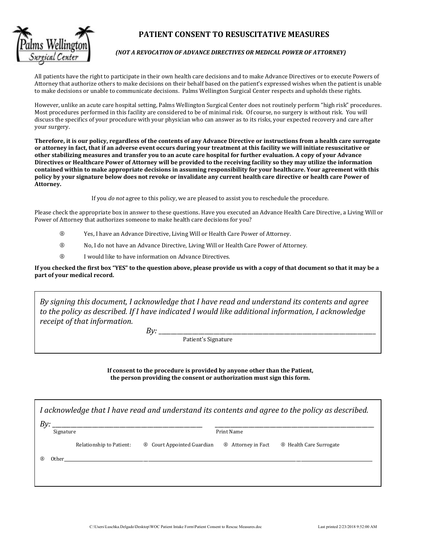

# **PATIENT CONSENT TO RESUSCITATIVE MEASURES**

All patients have the right to participate in their own health care decisions and to make Advance Directives or to execute Powers of Attorney that authorize others to make decisions on their behalf based on the patient's expressed wishes when the patient is unable to make decisions or unable to communicate decisions. Palms Wellington Surgical Center respects and upholds these rights.

However, unlike an acute care hospital setting, Palms Wellington Surgical Center does not routinely perform "high risk" procedures. Most procedures performed in this facility are considered to be of minimal risk. Of course, no surgery is without risk. You will discuss the specifics of your procedure with your physician who can answer as to its risks, your expected recovery and care after your surgery.

Therefore, it is our policy, regardless of the contents of any Advance Directive or instructions from a health care surrogate or attorney in fact, that if an adverse event occurs during your treatment at this facility we will initiate resuscitative or other stabilizing measures and transfer you to an acute care hospital for further evaluation. A copy of your Advance Directives or Healthcare Power of Attorney will be provided to the receiving facility so they may utilize the information contained within to make appropriate decisions in assuming responsibility for your healthcare. Your agreement with this policy by your signature below does not revoke or invalidate any current health care directive or health care Power of **Attorney.**

If you *do not* agree to this policy, we are pleased to assist you to reschedule the procedure.

Please check the appropriate box in answer to these questions. Have you executed an Advance Health Care Directive, a Living Will or Power of Attorney that authorizes someone to make health care decisions for you?

- ® Yes, I have an Advance Directive, Living Will or Health Care Power of Attorney.
- ® No, I do not have an Advance Directive, Living Will or Health Care Power of Attorney.
- **8** I would like to have information on Advance Directives.

If you checked the first box "YES" to the question above, please provide us with a copy of that document so that it may be a **part of your medical record.**

*By signing this document, I acknowledge that I have read and understand its contents and agree to the policy as described. If I have indicated I would like additional information, I acknowledge receipt of that information.*

*By:* \_\_\_\_\_\_\_\_\_\_\_\_\_\_\_\_\_\_\_\_\_\_\_\_\_\_\_\_\_\_\_\_\_\_\_\_\_\_\_\_\_\_\_\_\_\_\_\_\_\_\_\_\_\_\_\_\_\_\_\_\_\_\_\_\_\_\_\_\_\_\_ 

Patient's Signature

**If consent to the procedure is provided by anyone other than the Patient, the person providing the consent or authorization must sign this form.**

*I acknowledge that I have read and understand its contents and agree to the policy as described.*

| By:<br>Signature         |                                   | Print Name                |                                    |  |
|--------------------------|-----------------------------------|---------------------------|------------------------------------|--|
| Relationship to Patient: | <b>8</b> Court Appointed Guardian | <b>8</b> Attorney in Fact | <sup>8</sup> Health Care Surrogate |  |
| Other                    |                                   |                           |                                    |  |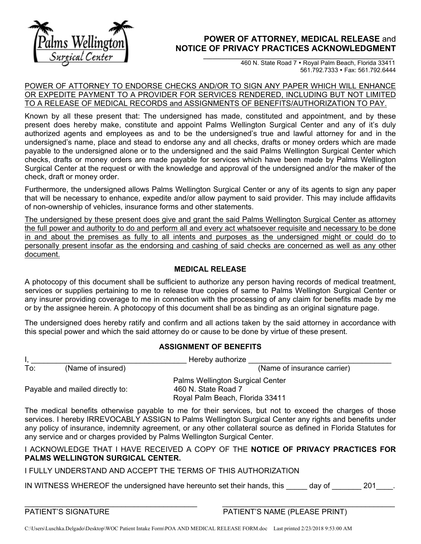

# **POWER OF ATTORNEY, MEDICAL RELEASE** and NOTICE OF PRIVACY PRACTICES ACKNOWLEDGMENT

460 N. State Road 7 Royal Palm Beach, Florida 33411 561.792.7333 Fax: 561.792.6444

### POWER OF ATTORNEY TO ENDORSE CHECKS AND/OR TO SIGN ANY PAPER WHICH WILL ENHANCE OR EXPEDITE PAYMENT TO A PROVIDER FOR SERVICES RENDERED, INCLUDING BUT NOT LIMITED TO A RELEASE OF MEDICAL RECORDS and ASSIGNMENTS OF BENEFITS/AUTHORIZATION TO PAY.

Known by all these present that: The undersigned has made, constituted and appointment, and by these present does hereby make, constitute and appoint Palms Wellington Surgical Center and any of it's duly authorized agents and employees as and to be the undersigned's true and lawful attorney for and in the undersigned's name, place and stead to endorse any and all checks, drafts or money orders which are made payable to the undersigned alone or to the undersigned and the said Palms Wellington Surgical Center which checks, drafts or money orders are made payable for services which have been made by Palms Wellington Surgical Center at the request or with the knowledge and approval of the undersigned and/or the maker of the check, draft or money order.

Furthermore, the undersigned allows Palms Wellington Surgical Center or any of its agents to sign any paper that will be necessary to enhance, expedite and/or allow payment to said provider. This may include affidavits of non-ownership of vehicles, insurance forms and other statements.

The undersigned by these present does give and grant the said Palms Wellington Surgical Center as attorney the full power and authority to do and perform all and every act whatsoever requisite and necessary to be done in and about the premises as fully to all intents and purposes as the undersigned might or could do to personally present insofar as the endorsing and cashing of said checks are concerned as well as any other document.

# **MEDICAL RELEASE**

A photocopy of this document shall be sufficient to authorize any person having records of medical treatment, services or supplies pertaining to me to release true copies of same to Palms Wellington Surgical Center or any insurer providing coverage to me in connection with the processing of any claim for benefits made by me or by the assignee herein. A photocopy of this document shall be as binding as an original signature page.

The undersigned does hereby ratify and confirm and all actions taken by the said attorney in accordance with this special power and which the said attorney do or cause to be done by virtue of these present.

# **ASSIGNMENT OF BENEFITS**

|                                 | Hereby authorize  |                                                                                            |  |
|---------------------------------|-------------------|--------------------------------------------------------------------------------------------|--|
| To:                             | (Name of insured) | (Name of insurance carrier)                                                                |  |
| Payable and mailed directly to: |                   | Palms Wellington Surgical Center<br>460 N. State Road 7<br>Royal Palm Beach, Florida 33411 |  |

The medical benefits otherwise payable to me for their services, but not to exceed the charges of those services. I hereby IRREVOCABLY ASSIGN to Palms Wellington Surgical Center any rights and benefits under any policy of insurance, indemnity agreement, or any other collateral source as defined in Florida Statutes for any service and or charges provided by Palms Wellington Surgical Center.

## I ACKNOWLEDGE THAT I HAVE RECEIVED A COPY OF THE **NOTICE OF PRIVACY PRACTICES FOR PALMS WELLINGTON SURGICAL CENTER.**

# I FULLY UNDERSTAND AND ACCEPT THE TERMS OF THIS AUTHORIZATION

IN WITNESS WHEREOF the undersigned have hereunto set their hands, this day of 201 .

 $\_$ PATIENT'S SIGNATURE **PATIENT'S NAME (PLEASE PRINT)** 

C:\Users\Luschka.Delgado\Desktop\WOC Patient Intake Form\POA AND MEDICAL RELEASE FORM.doc Last printed 2/23/2018 9:53:00 AM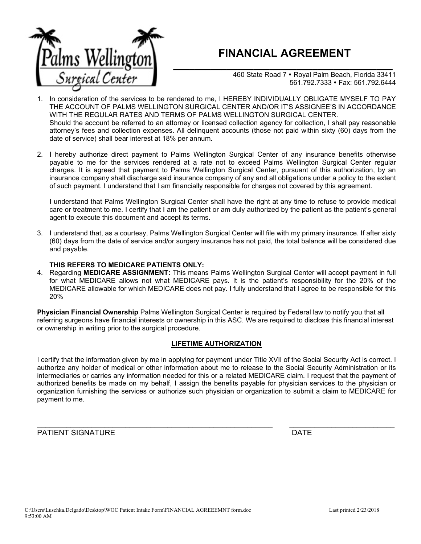

# **FINANCIAL AGREEMENT**

**\_\_\_\_\_\_\_\_\_\_\_\_\_\_\_\_\_\_\_\_\_\_\_\_\_\_\_\_\_\_\_\_\_\_\_\_\_\_\_\_\_** 460 State Road 7 · Royal Palm Beach, Florida 33411 561.792.7333 Fax: 561.792.6444

- 1. In consideration of the services to be rendered to me, I HEREBY INDIVIDUALLY OBLIGATE MYSELF TO PAY THE ACCOUNT OF PALMS WELLINGTON SURGICAL CENTER AND/OR IT'S ASSIGNEE'S IN ACCORDANCE WITH THE REGULAR RATES AND TERMS OF PALMS WELLINGTON SURGICAL CENTER. Should the account be referred to an attorney or licensed collection agency for collection, I shall pay reasonable attorney's fees and collection expenses. All delinquent accounts (those not paid within sixty (60) days from the date of service) shall bear interest at 18% per annum.
- 2. I hereby authorize direct payment to Palms Wellington Surgical Center of any insurance benefits otherwise payable to me for the services rendered at a rate not to exceed Palms Wellington Surgical Center regular charges. It is agreed that payment to Palms Wellington Surgical Center, pursuant of this authorization, by an insurance company shall discharge said insurance company of any and all obligations under a policy to the extent of such payment. I understand that I am financially responsible for charges not covered by this agreement.

I understand that Palms Wellington Surgical Center shall have the right at any time to refuse to provide medical care or treatment to me. I certify that I am the patient or am duly authorized by the patient as the patient's general agent to execute this document and accept its terms.

3. I understand that, as a courtesy, Palms Wellington Surgical Center will file with my primary insurance. If after sixty (60) days from the date of service and/or surgery insurance has not paid, the total balance will be considered due and payable.

### **THIS REFERS TO MEDICARE PATIENTS ONLY:**

4. Regarding **MEDICARE ASSIGNMENT:** This means Palms Wellington Surgical Center will accept payment in full for what MEDICARE allows not what MEDICARE pays. It is the patient's responsibility for the 20% of the MEDICARE allowable for which MEDICARE does not pay. I fully understand that I agree to be responsible for this 20%

**Physician Financial Ownership** Palms Wellington Surgical Center is required by Federal law to notify you that all referring surgeons have financial interests or ownership in this ASC. We are required to disclose this financial interest or ownership in writing prior to the surgical procedure.

### **LIFETIME AUTHORIZATION**

I certify that the information given by me in applying for payment under Title XVII of the Social Security Act is correct. I authorize any holder of medical or other information about me to release to the Social Security Administration or its intermediaries or carries any information needed for this or a related MEDICARE claim. I request that the payment of authorized benefits be made on my behalf, I assign the benefits payable for physician services to the physician or organization furnishing the services or authorize such physician or organization to submit a claim to MEDICARE for payment to me.

PATIENT SIGNATURE **DATE** 

\_\_\_\_\_\_\_\_\_\_\_\_\_\_\_\_\_\_\_\_\_\_\_\_\_\_\_\_\_\_\_\_\_\_\_\_\_\_\_\_\_\_\_\_\_\_\_\_\_\_\_\_\_\_\_\_ \_\_\_\_\_\_\_\_\_\_\_\_\_\_\_\_\_\_\_\_\_\_\_\_\_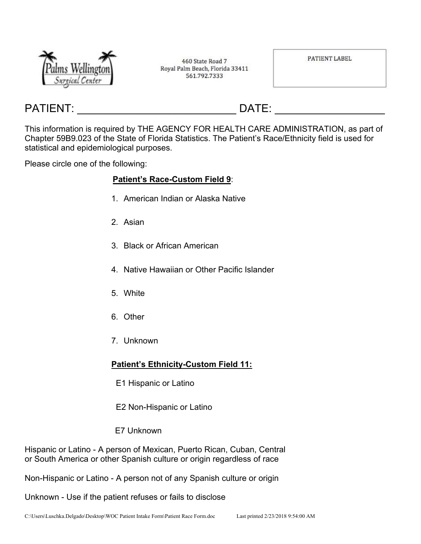

460 State Road 7 Royal Palm Beach, Florida 33411 561.792.7333

PATIENT LABEL

# PATIENT: \_\_\_\_\_\_\_\_\_\_\_\_\_\_\_\_\_\_\_\_\_\_\_\_\_\_ DATE: \_\_\_\_\_\_\_\_\_\_\_\_\_\_\_\_\_\_

This information is required by THE AGENCY FOR HEALTH CARE ADMINISTRATION, as part of Chapter 59B9.023 of the State of Florida Statistics. The Patient's Race/Ethnicity field is used for statistical and epidemiological purposes.

Please circle one of the following:

# **Patient's Race-Custom Field 9**:

- 1. American Indian or Alaska Native
- 2. Asian
- 3. Black or African American
- 4. Native Hawaiian or Other Pacific Islander
- 5. White
- 6. Other
- 7. Unknown

# **Patient's Ethnicity-Custom Field 11:**

- E1 Hispanic or Latino
- E2 Non-Hispanic or Latino
- E7 Unknown

Hispanic or Latino - A person of Mexican, Puerto Rican, Cuban, Central or South America or other Spanish culture or origin regardless of race

Non-Hispanic or Latino - A person not of any Spanish culture or origin

Unknown - Use if the patient refuses or fails to disclose